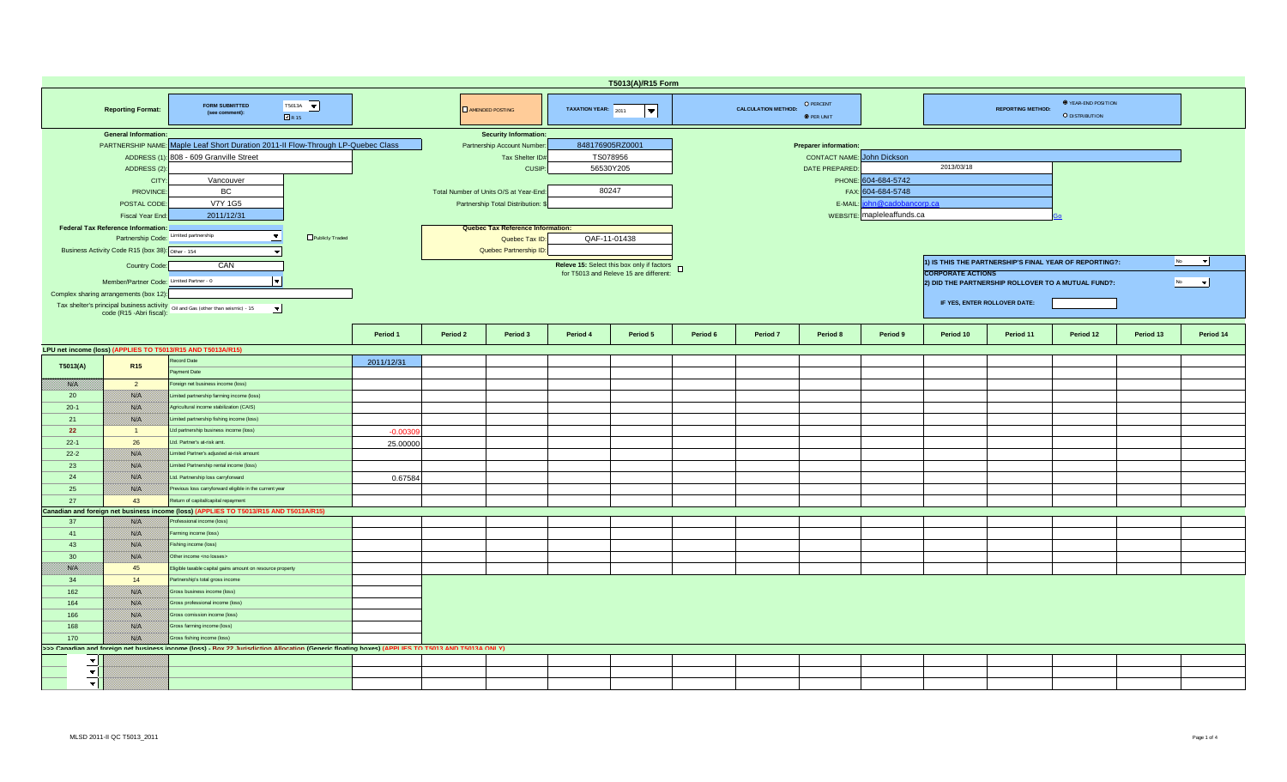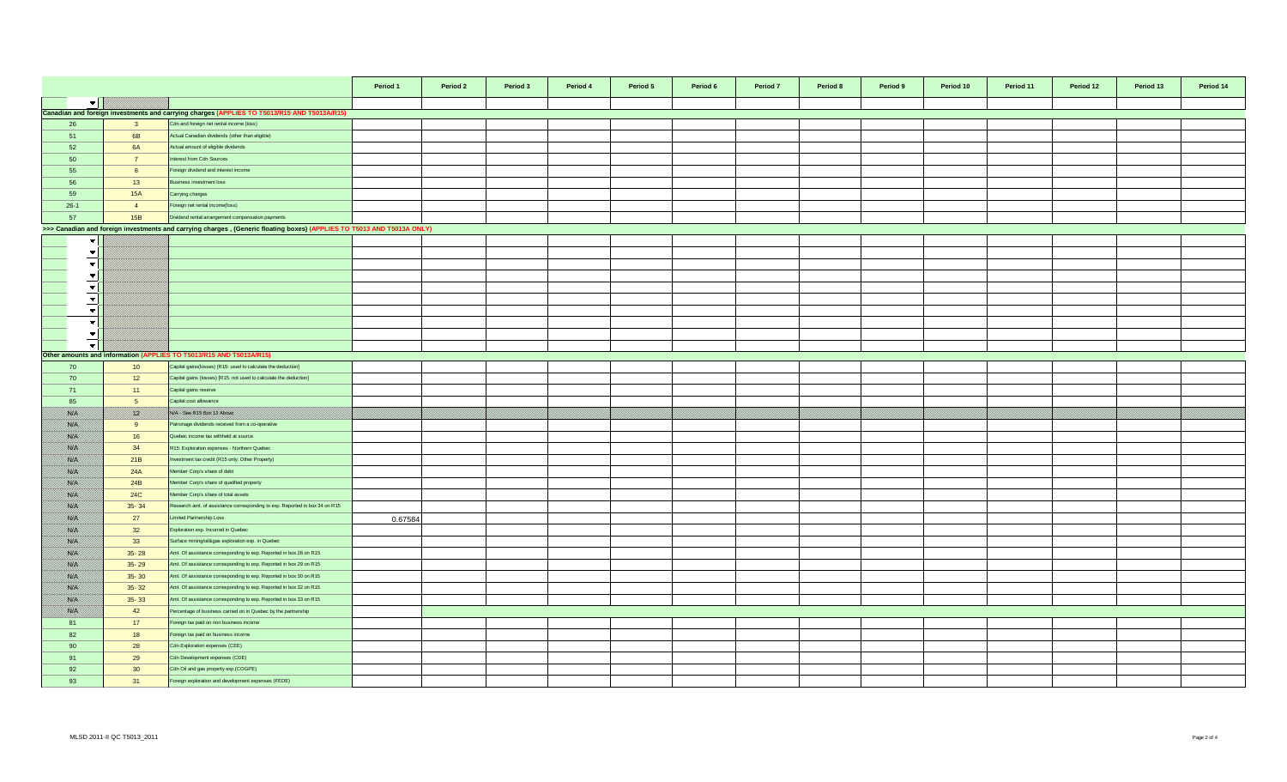|                          |                 |                                                                                                                        | Period 1 | Period 2 | Period 3 | Period 4 | Period 5 | Period 6 | Period 7 | Period 8 | Period 9 | Period 10 | Period 11 | Period 12 | Period 13 | Period 14 |
|--------------------------|-----------------|------------------------------------------------------------------------------------------------------------------------|----------|----------|----------|----------|----------|----------|----------|----------|----------|-----------|-----------|-----------|-----------|-----------|
| $\blacktriangledown$     |                 |                                                                                                                        |          |          |          |          |          |          |          |          |          |           |           |           |           |           |
|                          |                 | Canadian and foreign investments and carrying charges (APPLIES TO T5013/R15 AND T5013A/R15)                            |          |          |          |          |          |          |          |          |          |           |           |           |           |           |
| 26                       | 3 <sup>3</sup>  | Cdn and foreign net rental income (loss)                                                                               |          |          |          |          |          |          |          |          |          |           |           |           |           |           |
| 51                       | 6B              | Actual Canadian dividends (other than eligible)                                                                        |          |          |          |          |          |          |          |          |          |           |           |           |           |           |
| 52                       | 6A              | Actual amount of eligible dividends                                                                                    |          |          |          |          |          |          |          |          |          |           |           |           |           |           |
| 50                       | $\overline{7}$  | nterest from Cdn Sources                                                                                               |          |          |          |          |          |          |          |          |          |           |           |           |           |           |
| 55                       | 8               | oreign dividend and interest income                                                                                    |          |          |          |          |          |          |          |          |          |           |           |           |           |           |
| 56                       | 13              | usiness investment loss                                                                                                |          |          |          |          |          |          |          |          |          |           |           |           |           |           |
| 59                       | <b>15A</b>      |                                                                                                                        |          |          |          |          |          |          |          |          |          |           |           |           |           |           |
|                          |                 | Carrying charges                                                                                                       |          |          |          |          |          |          |          |          |          |           |           |           |           |           |
| $26-1$                   | $\overline{4}$  | oreign net rental income(loss)                                                                                         |          |          |          |          |          |          |          |          |          |           |           |           |           |           |
| 57                       | 15B             | Dividend rental arrangement compensation payments                                                                      |          |          |          |          |          |          |          |          |          |           |           |           |           |           |
|                          |                 | >>> Canadian and foreign investments and carrying charges, (Generic floating boxes) (APPLIES TO T5013 AND T5013A ONLY) |          |          |          |          |          |          |          |          |          |           |           |           |           |           |
| $\overline{\phantom{a}}$ |                 |                                                                                                                        |          |          |          |          |          |          |          |          |          |           |           |           |           |           |
| $\blacktriangledown$     |                 |                                                                                                                        |          |          |          |          |          |          |          |          |          |           |           |           |           |           |
| $\overline{\phantom{a}}$ |                 |                                                                                                                        |          |          |          |          |          |          |          |          |          |           |           |           |           |           |
| $\overline{\phantom{a}}$ |                 |                                                                                                                        |          |          |          |          |          |          |          |          |          |           |           |           |           |           |
| $\blacktriangledown$     |                 |                                                                                                                        |          |          |          |          |          |          |          |          |          |           |           |           |           |           |
| $\overline{\phantom{a}}$ |                 |                                                                                                                        |          |          |          |          |          |          |          |          |          |           |           |           |           |           |
| $\mathbf{v}$             |                 |                                                                                                                        |          |          |          |          |          |          |          |          |          |           |           |           |           |           |
| $\blacktriangledown$     |                 |                                                                                                                        |          |          |          |          |          |          |          |          |          |           |           |           |           |           |
| $\overline{\phantom{a}}$ |                 |                                                                                                                        |          |          |          |          |          |          |          |          |          |           |           |           |           |           |
| ·₹I                      |                 |                                                                                                                        |          |          |          |          |          |          |          |          |          |           |           |           |           |           |
|                          |                 | Other amounts and information (APPLIES TO T5013/R15 AND T5013A/R15)                                                    |          |          |          |          |          |          |          |          |          |           |           |           |           |           |
| 70                       | 10              | Capital gains (losses) [R15: used to calculate the deduction]                                                          |          |          |          |          |          |          |          |          |          |           |           |           |           |           |
| 70                       | 12              | Capital gains (losses) [R15: not used to calculate the deduction]                                                      |          |          |          |          |          |          |          |          |          |           |           |           |           |           |
| 71                       | 11              | Capital gains reserve                                                                                                  |          |          |          |          |          |          |          |          |          |           |           |           |           |           |
| 85                       | 5 <sup>5</sup>  | Capital cost allowance                                                                                                 |          |          |          |          |          |          |          |          |          |           |           |           |           |           |
| <b>Sidani</b>            | <u> Kill</u>    | NA See R15 Box 12 Above                                                                                                |          |          |          |          |          |          |          |          |          |           |           |           |           |           |
| <b>Sida</b>              | 9               | atronage dividends received from a co-operative                                                                        |          |          |          |          |          |          |          |          |          |           |           |           |           |           |
| 88. I                    | 16              | Quebec income tax withheld at source                                                                                   |          |          |          |          |          |          |          |          |          |           |           |           |           |           |
|                          |                 |                                                                                                                        |          |          |          |          |          |          |          |          |          |           |           |           |           |           |
| <b>SSEE</b>              | 34              | R15: Exploration expenses - Northern Quebec                                                                            |          |          |          |          |          |          |          |          |          |           |           |           |           |           |
| ssiel                    | 21B             | westment tax credit (R15 only: Other Property)                                                                         |          |          |          |          |          |          |          |          |          |           |           |           |           |           |
| <b>SSIE</b>              | 24A             | Member Corp's share of debt                                                                                            |          |          |          |          |          |          |          |          |          |           |           |           |           |           |
| <b>Side S</b>            | 24B             | Member Corp's share of qualified property                                                                              |          |          |          |          |          |          |          |          |          |           |           |           |           |           |
| <b>SSB</b>               | <b>24C</b>      | Member Corp's share of total assets                                                                                    |          |          |          |          |          |          |          |          |          |           |           |           |           |           |
| <b>Side S</b>            | $35 - 34$       | Research amt. of assistance corresponding to exp. Reported in box 34 on R15                                            |          |          |          |          |          |          |          |          |          |           |           |           |           |           |
| <b>SALE</b>              | 27              | imited Partnership Loss                                                                                                | 0.67584  |          |          |          |          |          |          |          |          |           |           |           |           |           |
| 88. I                    | 32              | Exploration exp. Incurred in Quebec                                                                                    |          |          |          |          |          |          |          |          |          |           |           |           |           |           |
| <b>SALE</b>              | 33              | Surface mining/oil&gas exploration exp. in Quebec                                                                      |          |          |          |          |          |          |          |          |          |           |           |           |           |           |
| <b>Sideri</b>            | $35 - 28$       | Amt. Of assistance corresponding to exp. Reported in box 28 on R15                                                     |          |          |          |          |          |          |          |          |          |           |           |           |           |           |
| ssiel                    | $35 - 29$       | Amt. Of assistance corresponding to exp. Reported in box 29 on R15                                                     |          |          |          |          |          |          |          |          |          |           |           |           |           |           |
| ssisten.                 | $35 - 30$       | Amt. Of assistance corresponding to exp. Reported in box 30 on R15                                                     |          |          |          |          |          |          |          |          |          |           |           |           |           |           |
| <b>Side S</b>            | $35 - 32$       | Amt. Of assistance corresponding to exp. Reported in box 32 on R15                                                     |          |          |          |          |          |          |          |          |          |           |           |           |           |           |
| <b>Side S</b>            | $35 - 33$       | Amt. Of assistance corresponding to exp. Reported in box 33 on R15                                                     |          |          |          |          |          |          |          |          |          |           |           |           |           |           |
| <b>Side S</b>            | 42              | Percentage of business carried on in Quebec by the partnership                                                         |          |          |          |          |          |          |          |          |          |           |           |           |           |           |
| 81                       | 17              | oreign tax paid on non business income                                                                                 |          |          |          |          |          |          |          |          |          |           |           |           |           |           |
| 82                       | 18              | oreign tax paid on business income                                                                                     |          |          |          |          |          |          |          |          |          |           |           |           |           |           |
| 90                       |                 |                                                                                                                        |          |          |          |          |          |          |          |          |          |           |           |           |           |           |
| 91                       | 28              | Cdn Exploration expenses (CEE)                                                                                         |          |          |          |          |          |          |          |          |          |           |           |           |           |           |
|                          | 29              | Cdn Development expenses (CDE)                                                                                         |          |          |          |          |          |          |          |          |          |           |           |           |           |           |
| 92                       | 30 <sup>°</sup> | Cdn Oil and gas property exp.(COGPE)                                                                                   |          |          |          |          |          |          |          |          |          |           |           |           |           |           |
| 93                       | 31              | oreign exploration and development expenses (FEDE)                                                                     |          |          |          |          |          |          |          |          |          |           |           |           |           |           |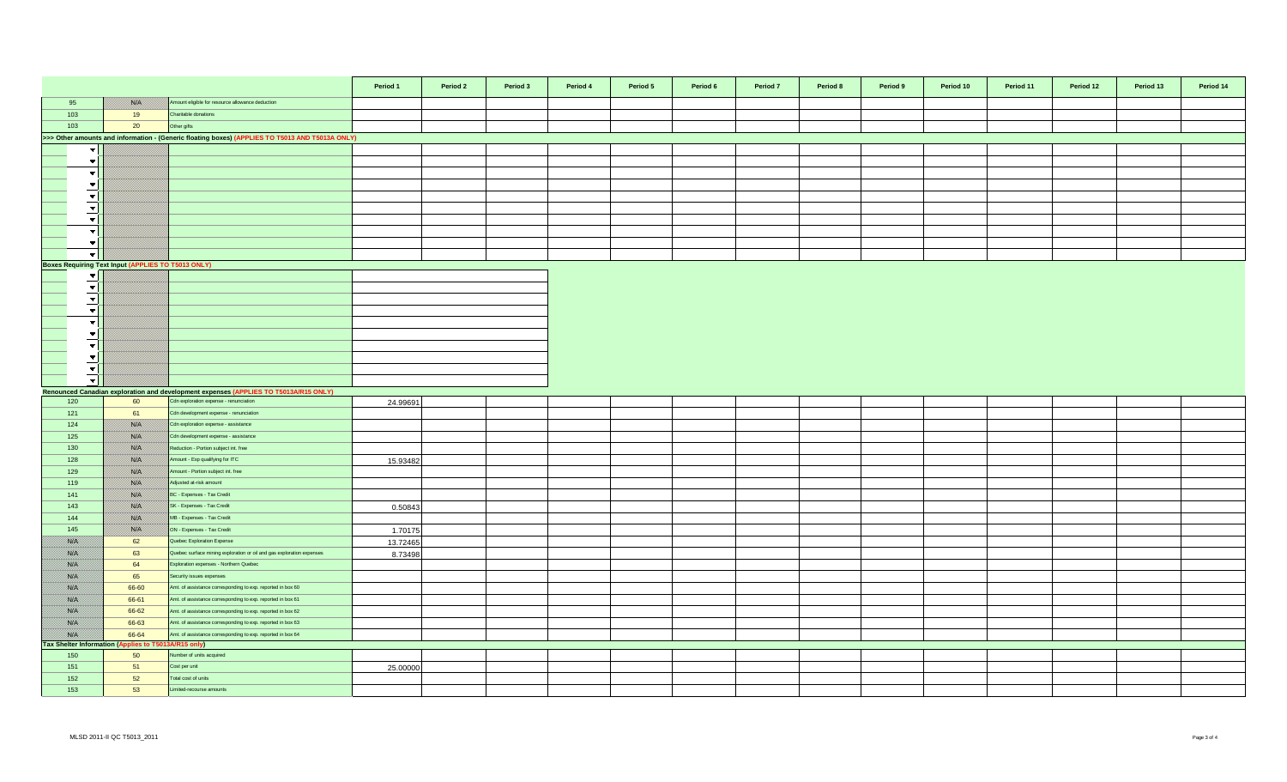|                                                                                                 |                                                      |                                                                                                                 | Period 1 | Period 2 | Period 3 | Period 4 | Period 5 | Period 6 | Period 7 | Period 8 | Period 9 | Period 10 | Period 11 | Period 12 | Period 13 | Period 14 |
|-------------------------------------------------------------------------------------------------|------------------------------------------------------|-----------------------------------------------------------------------------------------------------------------|----------|----------|----------|----------|----------|----------|----------|----------|----------|-----------|-----------|-----------|-----------|-----------|
| 95                                                                                              | <b>Side</b>                                          | Amount eligible for resource allowance deduction                                                                |          |          |          |          |          |          |          |          |          |           |           |           |           |           |
| 103                                                                                             | 19                                                   | Charitable donations                                                                                            |          |          |          |          |          |          |          |          |          |           |           |           |           |           |
| 103                                                                                             | 20                                                   | Other gifts                                                                                                     |          |          |          |          |          |          |          |          |          |           |           |           |           |           |
| >>> Other amounts and information - (Generic floating boxes) (APPLIES TO T5013 AND T5013A ONLY) |                                                      |                                                                                                                 |          |          |          |          |          |          |          |          |          |           |           |           |           |           |
| $\overline{\phantom{a}}$                                                                        |                                                      |                                                                                                                 |          |          |          |          |          |          |          |          |          |           |           |           |           |           |
| $\overline{\phantom{a}}$                                                                        |                                                      |                                                                                                                 |          |          |          |          |          |          |          |          |          |           |           |           |           |           |
| $\overline{\phantom{a}}$                                                                        |                                                      |                                                                                                                 |          |          |          |          |          |          |          |          |          |           |           |           |           |           |
| $\blacktriangledown$                                                                            |                                                      |                                                                                                                 |          |          |          |          |          |          |          |          |          |           |           |           |           |           |
| $\overline{\phantom{a}}$                                                                        |                                                      |                                                                                                                 |          |          |          |          |          |          |          |          |          |           |           |           |           |           |
| ╶┯╎                                                                                             |                                                      |                                                                                                                 |          |          |          |          |          |          |          |          |          |           |           |           |           |           |
| $\blacktriangledown$                                                                            |                                                      |                                                                                                                 |          |          |          |          |          |          |          |          |          |           |           |           |           |           |
| $\overline{\phantom{a}}$                                                                        |                                                      |                                                                                                                 |          |          |          |          |          |          |          |          |          |           |           |           |           |           |
| $\overline{\phantom{a}}$                                                                        |                                                      |                                                                                                                 |          |          |          |          |          |          |          |          |          |           |           |           |           |           |
| _च                                                                                              |                                                      |                                                                                                                 |          |          |          |          |          |          |          |          |          |           |           |           |           |           |
| <b>Boxes Requiring Text Input (APPLIES TO T5013 ONLY)</b>                                       |                                                      |                                                                                                                 |          |          |          |          |          |          |          |          |          |           |           |           |           |           |
| $\blacktriangledown$ $\mid$                                                                     |                                                      |                                                                                                                 |          |          |          |          |          |          |          |          |          |           |           |           |           |           |
| $\vert \mathbf{v} \vert$                                                                        |                                                      |                                                                                                                 |          |          |          |          |          |          |          |          |          |           |           |           |           |           |
| $\vert \mathbf{v} \vert$                                                                        |                                                      |                                                                                                                 |          |          |          |          |          |          |          |          |          |           |           |           |           |           |
| $\overline{\mathbf{v}}$                                                                         |                                                      |                                                                                                                 |          |          |          |          |          |          |          |          |          |           |           |           |           |           |
| $\overline{\phantom{a}}$                                                                        |                                                      |                                                                                                                 |          |          |          |          |          |          |          |          |          |           |           |           |           |           |
| $\overline{\phantom{a}}$                                                                        |                                                      |                                                                                                                 |          |          |          |          |          |          |          |          |          |           |           |           |           |           |
| $\vert \cdot \vert$                                                                             |                                                      |                                                                                                                 |          |          |          |          |          |          |          |          |          |           |           |           |           |           |
| $\vert \mathbf{v} \vert$                                                                        |                                                      |                                                                                                                 |          |          |          |          |          |          |          |          |          |           |           |           |           |           |
| $\vert \mathbf{v} \vert$                                                                        |                                                      |                                                                                                                 |          |          |          |          |          |          |          |          |          |           |           |           |           |           |
| $\bullet$                                                                                       |                                                      |                                                                                                                 |          |          |          |          |          |          |          |          |          |           |           |           |           |           |
|                                                                                                 |                                                      | Renounced Canadian exploration and development expenses (APPLIES TO T5013A/R15 ONLY)                            |          |          |          |          |          |          |          |          |          |           |           |           |           |           |
| 120                                                                                             | 60                                                   | Cdn exploration expense - renunciation                                                                          | 24.99691 |          |          |          |          |          |          |          |          |           |           |           |           |           |
| 121                                                                                             | 61                                                   | Cdn development expense - renunciation                                                                          |          |          |          |          |          |          |          |          |          |           |           |           |           |           |
| 124                                                                                             | <b>Side</b>                                          | Cdn exploration expense - assistance                                                                            |          |          |          |          |          |          |          |          |          |           |           |           |           |           |
| 125                                                                                             | <b>Sida</b>                                          | Cdn development expense - assistance                                                                            |          |          |          |          |          |          |          |          |          |           |           |           |           |           |
| 130                                                                                             | NB                                                   | Reduction - Portion subject int. free                                                                           |          |          |          |          |          |          |          |          |          |           |           |           |           |           |
| 128                                                                                             | <b>SSA</b>                                           | Amount - Exp qualifying for ITC                                                                                 | 15.93482 |          |          |          |          |          |          |          |          |           |           |           |           |           |
| 129                                                                                             | ssas.                                                | Amount - Portion subject int. free                                                                              |          |          |          |          |          |          |          |          |          |           |           |           |           |           |
| 119                                                                                             | <b>Sida</b>                                          | Adjusted at-risk amount                                                                                         |          |          |          |          |          |          |          |          |          |           |           |           |           |           |
| 141                                                                                             | <b>SKA</b>                                           | BC - Expenses - Tax Credit                                                                                      |          |          |          |          |          |          |          |          |          |           |           |           |           |           |
| 143                                                                                             | <b>SKA</b>                                           | SK - Expenses - Tax Credit                                                                                      | 0.50843  |          |          |          |          |          |          |          |          |           |           |           |           |           |
| 144                                                                                             | <b>Side</b>                                          | MB - Expenses - Tax Credit                                                                                      |          |          |          |          |          |          |          |          |          |           |           |           |           |           |
| 145                                                                                             | <b>Side</b>                                          | ON - Expenses - Tax Credit                                                                                      | 1.70175  |          |          |          |          |          |          |          |          |           |           |           |           |           |
| <u>ma</u>                                                                                       | 62                                                   | Quebec Exploration Expense                                                                                      | 13.72465 |          |          |          |          |          |          |          |          |           |           |           |           |           |
| 788. E                                                                                          | 63                                                   | Quebec surface mining exploration or oil and gas exploration expenses<br>Exploration expenses - Northern Quebec | 8.73498  |          |          |          |          |          |          |          |          |           |           |           |           |           |
| 788. E<br>i sistem                                                                              | 64<br>65                                             | Security issues expenses                                                                                        |          |          |          |          |          |          |          |          |          |           |           |           |           |           |
| <b>SARA</b>                                                                                     | 66-60                                                | Amt. of assistance corresponding to exp. reported in box 60                                                     |          |          |          |          |          |          |          |          |          |           |           |           |           |           |
| <b>SSLAS</b>                                                                                    | 66-61                                                | Amt. of assistance corresponding to exp. reported in box 61                                                     |          |          |          |          |          |          |          |          |          |           |           |           |           |           |
| <b>BAR</b>                                                                                      | 66-62                                                | Amt. of assistance corresponding to exp. reported in box 62                                                     |          |          |          |          |          |          |          |          |          |           |           |           |           |           |
| <b>SALE</b>                                                                                     | 66-63                                                | Amt. of assistance corresponding to exp. reported in box 63                                                     |          |          |          |          |          |          |          |          |          |           |           |           |           |           |
| <b>BAR</b>                                                                                      | 66-64                                                | Amt. of assistance corresponding to exp. reported in box 64                                                     |          |          |          |          |          |          |          |          |          |           |           |           |           |           |
|                                                                                                 | Tax Shelter Information (Applies to T5013A/R15 only) |                                                                                                                 |          |          |          |          |          |          |          |          |          |           |           |           |           |           |
| 150                                                                                             | 50                                                   | Number of units acquired                                                                                        |          |          |          |          |          |          |          |          |          |           |           |           |           |           |
| 151                                                                                             | 51                                                   | Cost per unit                                                                                                   | 25.00000 |          |          |          |          |          |          |          |          |           |           |           |           |           |
| 152                                                                                             | 52                                                   | otal cost of units                                                                                              |          |          |          |          |          |          |          |          |          |           |           |           |           |           |
| 153                                                                                             | 53                                                   | Limited-recourse amounts                                                                                        |          |          |          |          |          |          |          |          |          |           |           |           |           |           |